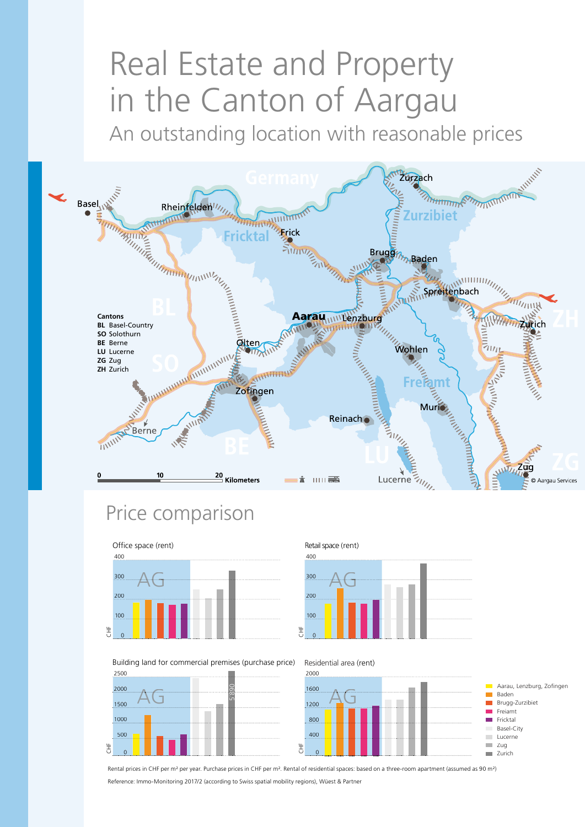# Real Estate and Property in the Canton of Aargau

An outstanding location with reasonable prices



# Price comparison



Building land for commercial premises (purchase price)



400 Retail space (rent) 300



Residential area (rent)



Rental prices in CHF per m² per year. Purchase prices in CHF per m². Rental of residential spaces: based on a three-room apartment (assumed as 90 m²) Reference: Immo-Monitoring 2017/2 (according to Swiss spatial mobility regions), Wüest & Partner